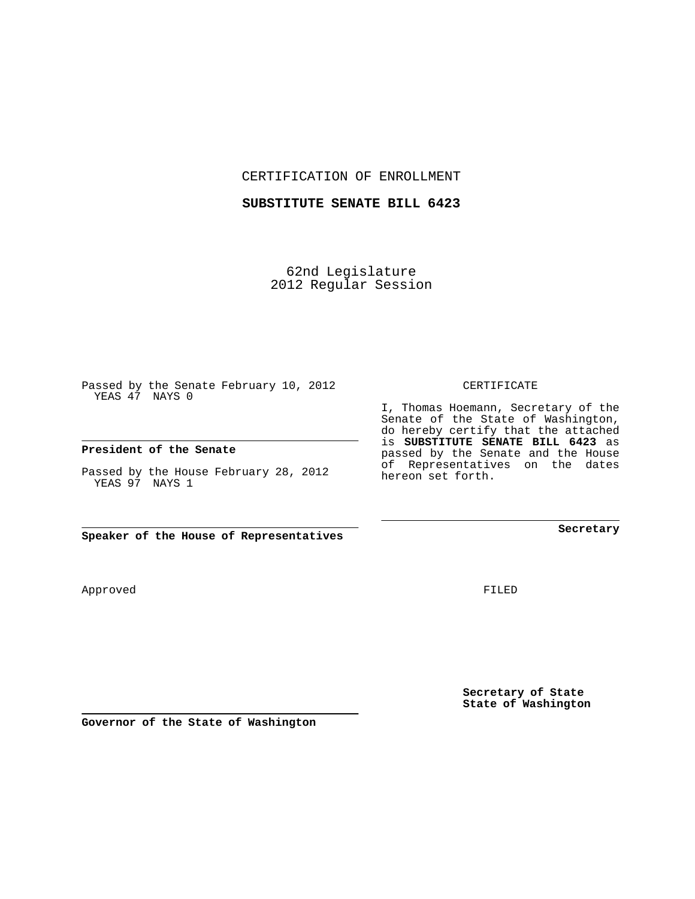CERTIFICATION OF ENROLLMENT

## **SUBSTITUTE SENATE BILL 6423**

62nd Legislature 2012 Regular Session

Passed by the Senate February 10, 2012 YEAS 47 NAYS 0

## **President of the Senate**

Passed by the House February 28, 2012 YEAS 97 NAYS 1

**Speaker of the House of Representatives**

Approved

FILED

**Secretary of State State of Washington**

**Governor of the State of Washington**

## CERTIFICATE

I, Thomas Hoemann, Secretary of the Senate of the State of Washington, do hereby certify that the attached is **SUBSTITUTE SENATE BILL 6423** as passed by the Senate and the House of Representatives on the dates hereon set forth.

**Secretary**